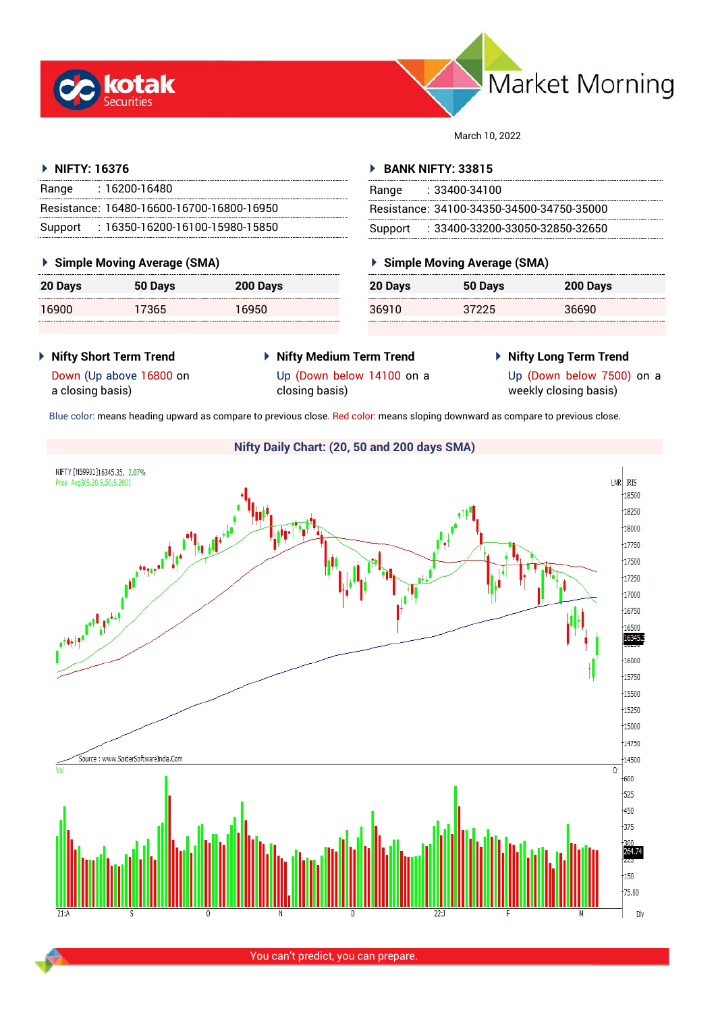



March 10, 2022

## **NIFTY: 16376**

| Range | : 16200-16480                             |
|-------|-------------------------------------------|
|       | Resistance: 16480-16600-16700-16800-16950 |
|       | Support: 16350-16200-16100-15980-15850    |

## **Simple Moving Average (SMA)**

| 20 Days | 50 Days | 200 Days |
|---------|---------|----------|
| 16900   | 17365   | 16950    |

## **BANK NIFTY: 33815**

| Range | : 33400-34100                             |
|-------|-------------------------------------------|
|       | Resistance: 34100-34350-34500-34750-35000 |
|       | Support: 33400-33200-33050-32850-32650    |

# **Simple Moving Average (SMA)**

| 20 Days | 50 Days | 200 Days |
|---------|---------|----------|
| 36910   | 37225   | 36690    |

**Nifty Short Term Trend**

a closing basis)

Down (Up above 16800 on

- **Nifty Medium Term Trend** Up (Down below 14100 on a closing basis)
- **Nifty Long Term Trend**

Up (Down below 7500) on a weekly closing basis)

Blue color: means heading upward as compare to previous close. Red color: means sloping downward as compare to previous close.



You can't predict, you can prepare.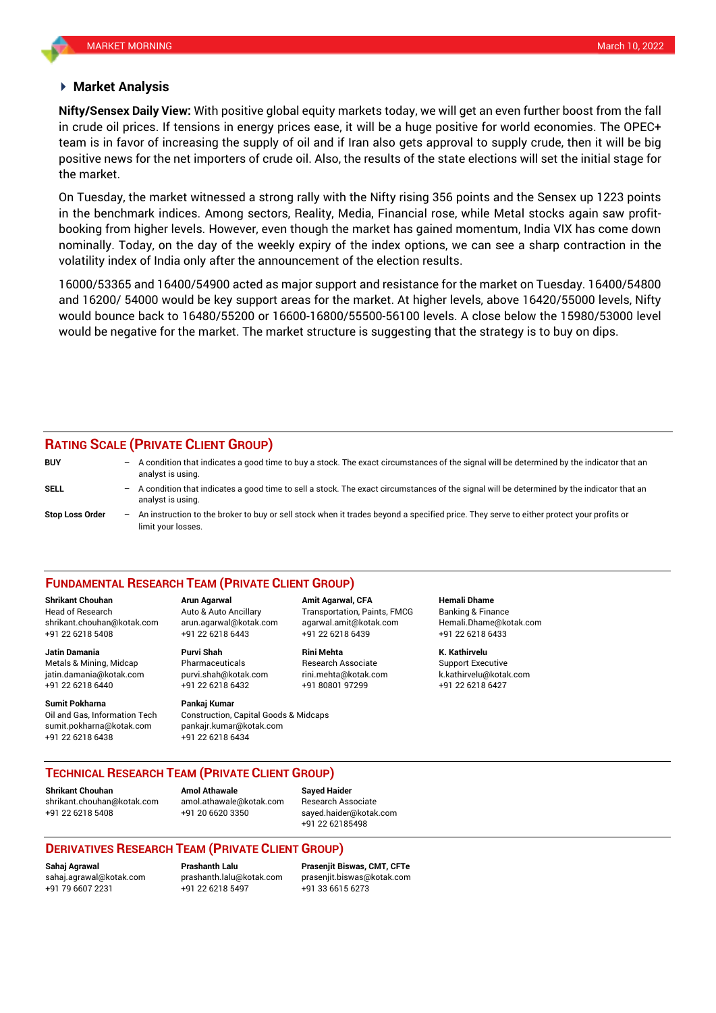## **Market Analysis**

in crude oil prices. If tensions in energy prices ease, it will be a huge positive for world economies. The OPEC+ **Nifty/Sensex Daily View:** With positive global equity markets today, we will get an even further boost from the fall team is in favor of increasing the supply of oil and if Iran also gets approval to supply crude, then it will be big positive news for the net importers of crude oil. Also, the results of the state elections will set the initial stage for the market.

On Tuesday, the market witnessed a strong rally with the Nifty rising 356 points and the Sensex up 1223 points in the benchmark indices. Among sectors, Reality, Media, Financial rose, while Metal stocks again saw profitbooking from higher levels. However, even though the market has gained momentum, India VIX has come down nominally. Today, on the day of the weekly expiry of the index options, we can see a sharp contraction in the volatility index of India only after the announcement of the election results.

16000/53365 and 16400/54900 acted as major support and resistance for the market on Tuesday. 16400/54800 and 16200/ 54000 would be key support areas for the market. At higher levels, above 16420/55000 levels, Nifty would bounce back to 16480/55200 or 16600-16800/55500-56100 levels. A close below the 15980/53000 level would be negative for the market. The market structure is suggesting that the strategy is to buy on dips.

## **RATING SCALE (PRIVATE CLIENT GROUP)**

| <b>BUY</b>             | $-$ A condition that indicates a good time to buy a stock. The exact circumstances of the signal will be determined by the indicator that an<br>analyst is using. |
|------------------------|-------------------------------------------------------------------------------------------------------------------------------------------------------------------|
| SELL                   | A condition that indicates a good time to sell a stock. The exact circumstances of the signal will be determined by the indicator that an<br>analyst is using.    |
| <b>Stop Loss Order</b> | An instruction to the broker to buy or sell stock when it trades beyond a specified price. They serve to either protect your profits or<br>limit your losses.     |

### **FUNDAMENTAL RESEARCH TEAM (PRIVATE CLIENT GROUP)**

Head of Research Auto & Auto Ancillary Transportation, Paints, FMCG Banking & Finance [shrikant.chouhan@kotak.com](mailto:shrikant.chouhan@kotak.com) arun.agarwal@kotak.com agarwal.amit@kotak.com Hemali.Dhame@kotak.com

**Jatin Damania Purvi Shah Rini Mehta K. Kathirvelu** Metals & Mining, Midcap Pharmaceuticals Research Associate Support Executive jatin.damania@kotak.com [purvi.shah@kotak.com](mailto:purvi.shah@kotak.com) rini.mehta@kotak.com [k.kathirvelu@kotak.com](mailto:k.kathirvelu@kotak.com) +91 22 6218 6440 +91 22 6218 6432 +91 80801 97299 +91 22 6218 6427

**Sumit Pokharna** Pankaj Kumar

Oil and Gas, Information Tech Construction, Capital Goods & Midcaps sumit.pokharna@kotak.com pankajr.kumar@kotak.com +91 22 6218 6438 +91 22 6218 6434

**Shrikant Chouhan Arun Agarwal Amit Agarwal, CFA Hemali Dhame** +91 22 6218 5408 +91 22 6218 6443 +91 22 6218 6439 +91 22 6218 6433

**TECHNICAL RESEARCH TEAM (PRIVATE CLIENT GROUP)**

**Shrikant Chouhan Amol Athawale Sayed Haider**

[shrikant.chouhan@kotak.com](mailto:shrikant.chouhan@kotak.com) [amol.athawale@kotak.com](mailto:amol.athawale@kotak.com) Research Associate +91 22 6218 5408 +91 20 6620 3350 [sayed.haider@kotak.com](mailto:sayed.haider@kotak.com)

+91 22 62185498

## **DERIVATIVES RESEARCH TEAM (PRIVATE CLIENT GROUP)**

+91 79 6607 2231 +91 22 6218 5497 +91 33 6615 6273

**Sahaj Agrawal Prashanth Lalu Prasenjit Biswas, CMT, CFTe** [sahaj.agrawal@kotak.com](mailto:sahaj.agrawal@kotak.com) [prashanth.lalu@kotak.com](mailto:prashanth.lalu@kotak.com) [prasenjit.biswas@kotak.com](mailto:prasenjit.biswas@kotak.com)